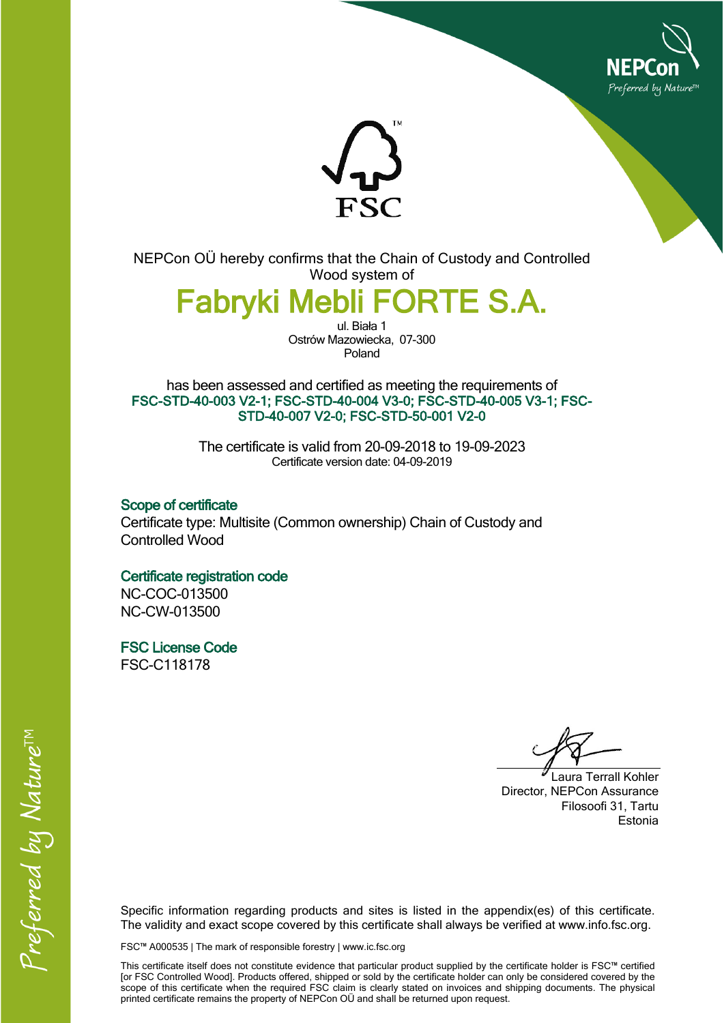



NEPCon OÜ hereby confirms that the Chain of Custody and Controlled Wood system of

**Fabryki Mebli FORTE S.A.**

ul. Biała 1 Ostrów Mazowiecka, 07-300 Poland

has been assessed and certified as meeting the requirements of **FSC-STD-40-003 V2-1; FSC-STD-40-004 V3-0; FSC-STD-40-005 V3-1; FSC-STD-40-007 V2-0; FSC-STD-50-001 V2-0**

> The certificate is valid from 20-09-2018 to 19-09-2023 Certificate version date: 04-09-2019

**Scope of certificate** Certificate type: Multisite (Common ownership) Chain of Custody and Controlled Wood

## **Certificate registration code**

NC-COC-013500 NC-CW-013500

**FSC License Code** FSC-C118178

Laura Terrall Kohler Director, NEPCon Assurance Filosoofi 31, Tartu Estonia

Specific information regarding products and sites is listed in the appendix(es) of this certificate. The validity and exact scope covered by this certificate shall always be verified at www.info.fsc.org.

FSC™ A000535 | The mark of responsible forestry | www.ic.fsc.org

This certificate itself does not constitute evidence that particular product supplied by the certificate holder is FSC™ certified [or FSC Controlled Wood]. Products offered, shipped or sold by the certificate holder can only be considered covered by the scope of this certificate when the required FSC claim is clearly stated on invoices and shipping documents. The physical printed certificate remains the property of NEPCon OÜ and shall be returned upon request.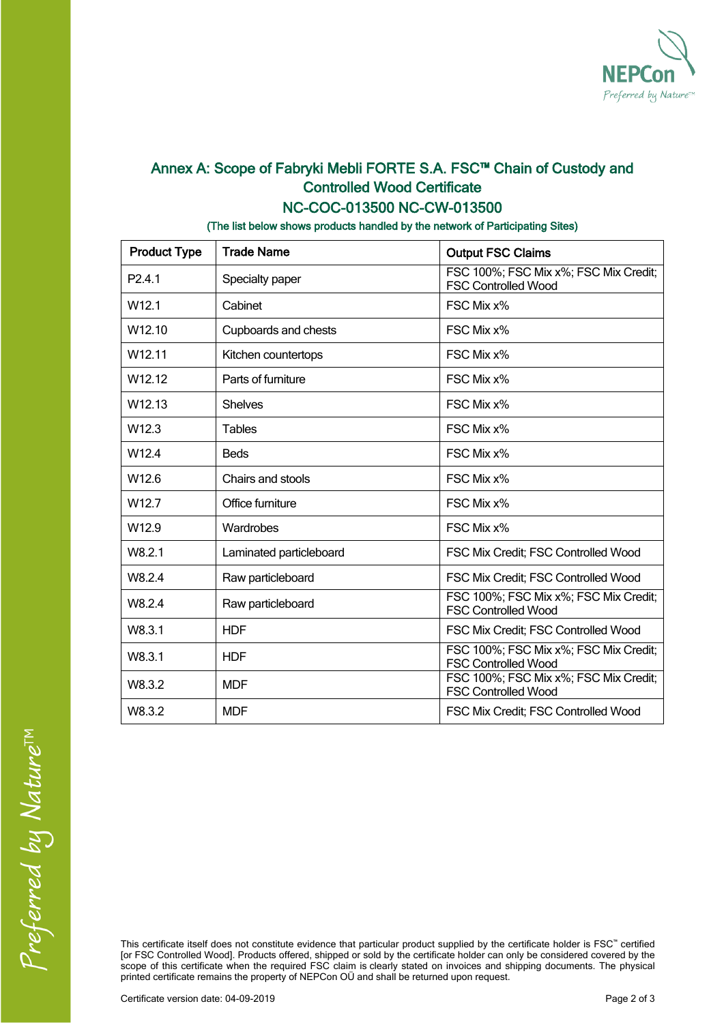

## **Annex A: Scope of Fabryki Mebli FORTE S.A. FSC™ Chain of Custody and Controlled Wood Certificate NC-COC-013500 NC-CW-013500**

**(The list below shows products handled by the network of Participating Sites)**

| <b>Product Type</b> | <b>Trade Name</b>       | <b>Output FSC Claims</b>                                            |  |
|---------------------|-------------------------|---------------------------------------------------------------------|--|
| P <sub>2</sub> 4.1  | Specialty paper         | FSC 100%; FSC Mix x%; FSC Mix Credit;<br><b>FSC Controlled Wood</b> |  |
| W <sub>12.1</sub>   | Cabinet                 | FSC Mix x%                                                          |  |
| W <sub>12.10</sub>  | Cupboards and chests    | FSC Mix x%                                                          |  |
| W <sub>12.11</sub>  | Kitchen countertops     | FSC Mix x%                                                          |  |
| W <sub>12.12</sub>  | Parts of furniture      | FSC Mix x%                                                          |  |
| W12.13              | <b>Shelves</b>          | FSC Mix x%                                                          |  |
| W12.3               | <b>Tables</b>           | FSC Mix x%                                                          |  |
| W12.4               | <b>Beds</b>             | FSC Mix x%                                                          |  |
| W12.6               | Chairs and stools       | FSC Mix x%                                                          |  |
| W <sub>12.7</sub>   | Office furniture        | FSC Mix x%                                                          |  |
| W12.9               | Wardrobes               | FSC Mix x%                                                          |  |
| W8.2.1              | Laminated particleboard | FSC Mix Credit; FSC Controlled Wood                                 |  |
| W8.2.4              | Raw particleboard       | FSC Mix Credit; FSC Controlled Wood                                 |  |
| W8.2.4              | Raw particleboard       | FSC 100%; FSC Mix x%; FSC Mix Credit;<br><b>FSC Controlled Wood</b> |  |
| W8.3.1              | <b>HDF</b>              | FSC Mix Credit; FSC Controlled Wood                                 |  |
| W8.3.1              | <b>HDF</b>              | FSC 100%; FSC Mix x%; FSC Mix Credit;<br><b>FSC Controlled Wood</b> |  |
| W8.3.2              | <b>MDF</b>              | FSC 100%; FSC Mix x%; FSC Mix Credit;<br><b>FSC Controlled Wood</b> |  |
| W8.3.2              | <b>MDF</b>              | FSC Mix Credit; FSC Controlled Wood                                 |  |

This certificate itself does not constitute evidence that particular product supplied by the certificate holder is FSC™ certified [or FSC Controlled Wood]. Products offered, shipped or sold by the certificate holder can only be considered covered by the scope of this certificate when the required FSC claim is clearly stated on invoices and shipping documents. The physical printed certificate remains the property of NEPCon OÜ and shall be returned upon request.